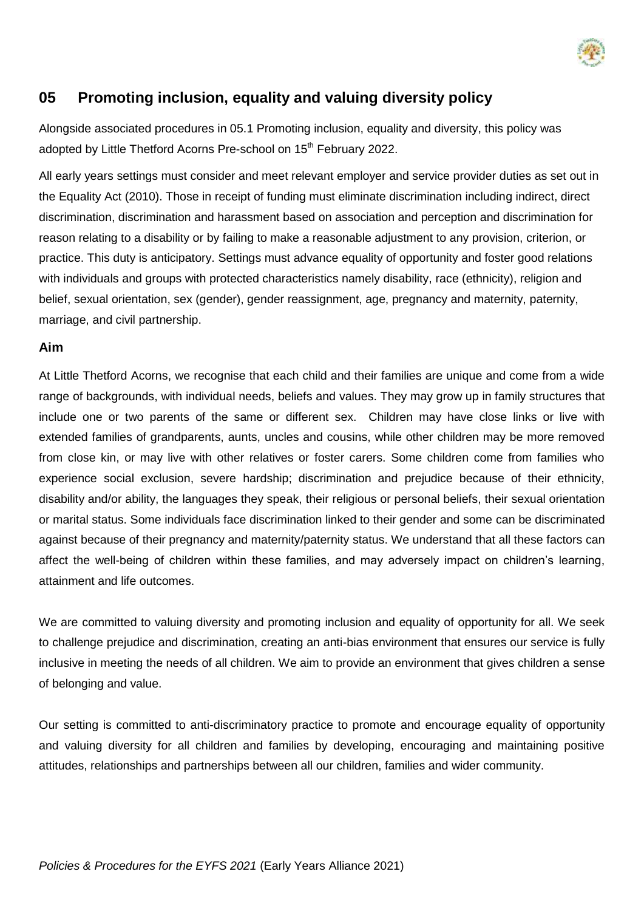

## **05 Promoting inclusion, equality and valuing diversity policy**

Alongside associated procedures in 05.1 Promoting inclusion, equality and diversity, this policy was adopted by Little Thetford Acorns Pre-school on 15<sup>th</sup> February 2022.

All early years settings must consider and meet relevant employer and service provider duties as set out in the Equality Act (2010). Those in receipt of funding must eliminate discrimination including indirect, direct discrimination, discrimination and harassment based on association and perception and discrimination for reason relating to a disability or by failing to make a reasonable adjustment to any provision, criterion, or practice. This duty is anticipatory. Settings must advance equality of opportunity and foster good relations with individuals and groups with protected characteristics namely disability, race (ethnicity), religion and belief, sexual orientation, sex (gender), gender reassignment, age, pregnancy and maternity, paternity, marriage, and civil partnership.

## **Aim**

At Little Thetford Acorns, we recognise that each child and their families are unique and come from a wide range of backgrounds, with individual needs, beliefs and values. They may grow up in family structures that include one or two parents of the same or different sex. Children may have close links or live with extended families of grandparents, aunts, uncles and cousins, while other children may be more removed from close kin, or may live with other relatives or foster carers. Some children come from families who experience social exclusion, severe hardship; discrimination and prejudice because of their ethnicity, disability and/or ability, the languages they speak, their religious or personal beliefs, their sexual orientation or marital status. Some individuals face discrimination linked to their gender and some can be discriminated against because of their pregnancy and maternity/paternity status. We understand that all these factors can affect the well-being of children within these families, and may adversely impact on children's learning, attainment and life outcomes.

We are committed to valuing diversity and promoting inclusion and equality of opportunity for all. We seek to challenge prejudice and discrimination, creating an anti-bias environment that ensures our service is fully inclusive in meeting the needs of all children. We aim to provide an environment that gives children a sense of belonging and value.

Our setting is committed to anti-discriminatory practice to promote and encourage equality of opportunity and valuing diversity for all children and families by developing, encouraging and maintaining positive attitudes, relationships and partnerships between all our children, families and wider community.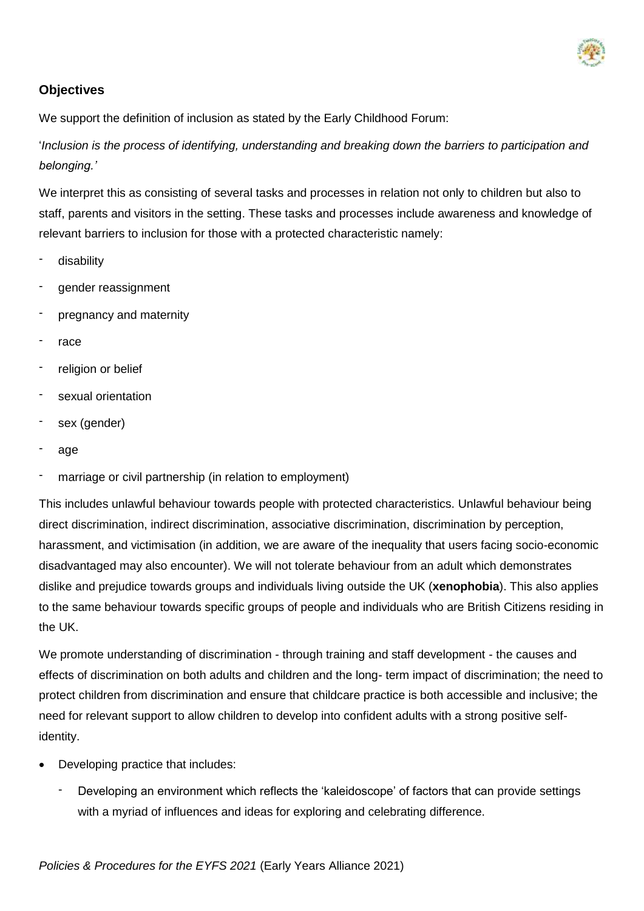

## **Objectives**

We support the definition of inclusion as stated by the Early Childhood Forum:

'*Inclusion is the process of identifying, understanding and breaking down the barriers to participation and belonging.'*

We interpret this as consisting of several tasks and processes in relation not only to children but also to staff, parents and visitors in the setting. These tasks and processes include awareness and knowledge of relevant barriers to inclusion for those with a protected characteristic namely:

- disability
- gender reassignment
- pregnancy and maternity
- race
- religion or belief
- sexual orientation
- sex (gender)
- age
- marriage or civil partnership (in relation to employment)

This includes unlawful behaviour towards people with protected characteristics. Unlawful behaviour being direct discrimination, indirect discrimination, associative discrimination, discrimination by perception, harassment, and victimisation (in addition, we are aware of the inequality that users facing socio-economic disadvantaged may also encounter). We will not tolerate behaviour from an adult which demonstrates dislike and prejudice towards groups and individuals living outside the UK (**xenophobia**). This also applies to the same behaviour towards specific groups of people and individuals who are British Citizens residing in the UK.

We promote understanding of discrimination - through training and staff development - the causes and effects of discrimination on both adults and children and the long- term impact of discrimination; the need to protect children from discrimination and ensure that childcare practice is both accessible and inclusive; the need for relevant support to allow children to develop into confident adults with a strong positive selfidentity.

- Developing practice that includes:
	- Developing an environment which reflects the 'kaleidoscope' of factors that can provide settings with a myriad of influences and ideas for exploring and celebrating difference.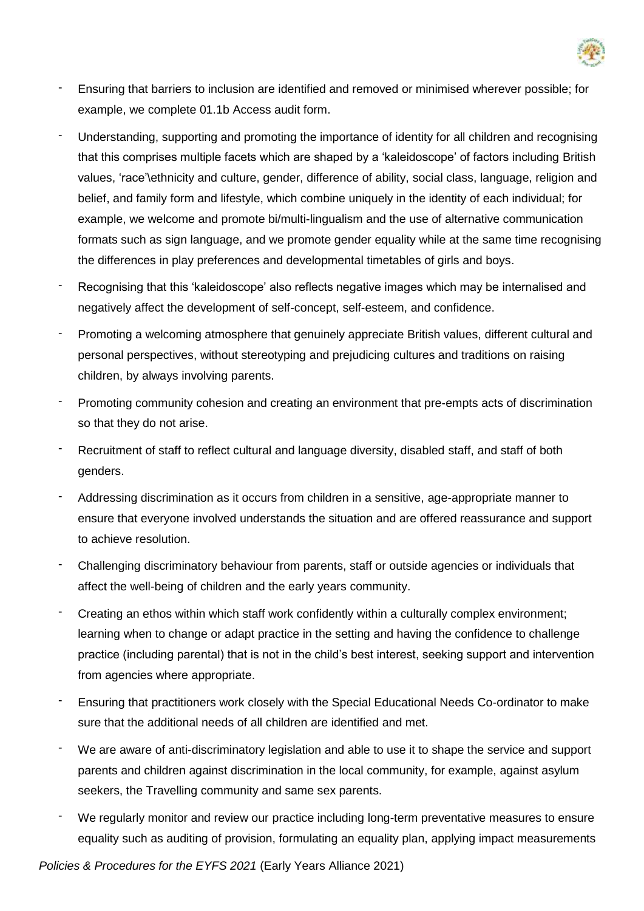

- Ensuring that barriers to inclusion are identified and removed or minimised wherever possible; for example, we complete 01.1b Access audit form.
- Understanding, supporting and promoting the importance of identity for all children and recognising that this comprises multiple facets which are shaped by a 'kaleidoscope' of factors including British values, 'race'\ethnicity and culture, gender, difference of ability, social class, language, religion and belief, and family form and lifestyle, which combine uniquely in the identity of each individual; for example, we welcome and promote bi/multi-lingualism and the use of alternative communication formats such as sign language, and we promote gender equality while at the same time recognising the differences in play preferences and developmental timetables of girls and boys.
- Recognising that this 'kaleidoscope' also reflects negative images which may be internalised and negatively affect the development of self-concept, self-esteem, and confidence.
- Promoting a welcoming atmosphere that genuinely appreciate British values, different cultural and personal perspectives, without stereotyping and prejudicing cultures and traditions on raising children, by always involving parents.
- Promoting community cohesion and creating an environment that pre-empts acts of discrimination so that they do not arise.
- Recruitment of staff to reflect cultural and language diversity, disabled staff, and staff of both genders.
- Addressing discrimination as it occurs from children in a sensitive, age-appropriate manner to ensure that everyone involved understands the situation and are offered reassurance and support to achieve resolution.
- Challenging discriminatory behaviour from parents, staff or outside agencies or individuals that affect the well-being of children and the early years community.
- Creating an ethos within which staff work confidently within a culturally complex environment; learning when to change or adapt practice in the setting and having the confidence to challenge practice (including parental) that is not in the child's best interest, seeking support and intervention from agencies where appropriate.
- Ensuring that practitioners work closely with the Special Educational Needs Co-ordinator to make sure that the additional needs of all children are identified and met.
- We are aware of anti-discriminatory legislation and able to use it to shape the service and support parents and children against discrimination in the local community, for example, against asylum seekers, the Travelling community and same sex parents.
- We regularly monitor and review our practice including long-term preventative measures to ensure equality such as auditing of provision, formulating an equality plan, applying impact measurements

*Policies & Procedures for the EYFS 2021* (Early Years Alliance 2021)